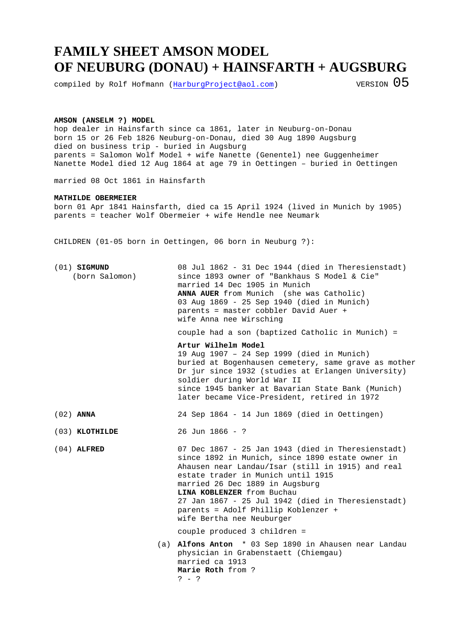## **FAMILY SHEET AMSON MODEL OF NEUBURG (DONAU) + HAINSFARTH + AUGSBURG**

compiled by Rolf Hofmann (HarburgProject@aol.com) VERSION  $05$ 

## **AMSON (ANSELM ?) MODEL**

hop dealer in Hainsfarth since ca 1861, later in Neuburg-on-Donau born 15 or 26 Feb 1826 Neuburg-on-Donau, died 30 Aug 1890 Augsburg died on business trip - buried in Augsburg parents = Salomon Wolf Model + wife Nanette (Genentel) nee Guggenheimer Nanette Model died 12 Aug 1864 at age 79 in Oettingen – buried in Oettingen

married 08 Oct 1861 in Hainsfarth

## **MATHILDE OBERMEIER**

born 01 Apr 1841 Hainsfarth, died ca 15 April 1924 (lived in Munich by 1905) parents = teacher Wolf Obermeier + wife Hendle nee Neumark

CHILDREN (01-05 born in Oettingen, 06 born in Neuburg ?):

(01) **SIGMUND** 08 Jul 1862 - 31 Dec 1944 (died in Theresienstadt) (born Salomon) since 1893 owner of "Bankhaus S Model & Cie" married 14 Dec 1905 in Munich **ANNA AUER** from Munich (she was Catholic) 03 Aug 1869 - 25 Sep 1940 (died in Munich) parents = master cobbler David Auer + wife Anna nee Wirsching

couple had a son (baptized Catholic in Munich) =

**Artur Wilhelm Model** 

19 Aug 1907 – 24 Sep 1999 (died in Munich) buried at Bogenhausen cemetery, same grave as mother Dr jur since 1932 (studies at Erlangen University) soldier during World War II since 1945 banker at Bavarian State Bank (Munich) later became Vice-President, retired in 1972

(02) **ANNA** 24 Sep 1864 - 14 Jun 1869 (died in Oettingen)

(03) **KLOTHILDE** 26 Jun 1866 - ?

(04) **ALFRED** 07 Dec 1867 - 25 Jan 1943 (died in Theresienstadt) since 1892 in Munich, since 1890 estate owner in Ahausen near Landau/Isar (still in 1915) and real estate trader in Munich until 1915 married 26 Dec 1889 in Augsburg **LINA KOBLENZER** from Buchau 27 Jan 1867 - 25 Jul 1942 (died in Theresienstadt) parents = Adolf Phillip Koblenzer + wife Bertha nee Neuburger

couple produced 3 children =

 (a) **Alfons Anton** \* 03 Sep 1890 in Ahausen near Landau physician in Grabenstaett (Chiemgau) married ca 1913 **Marie Roth** from ? ? - ?